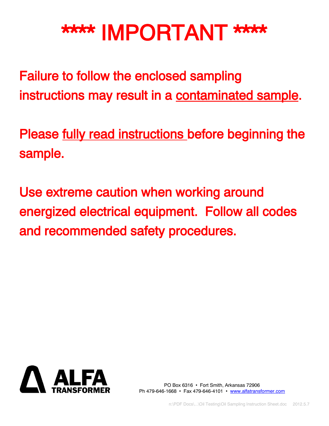# \*\*\*\* IMPORTANT \*\*\*\*

Failure to follow the enclosed sampling instructions may result in a contaminated sample.

Please fully read instructions before beginning the sample.

Use extreme caution when working around energized electrical equipment. Follow all codes and recommended safety procedures.



PO Box 6316 • Fort Smith, Arkansas 72906 Ph 479-646-1668 • Fax 479-646-4101 • [www.alfatransformer.com](http://www.alfatransformer.com/)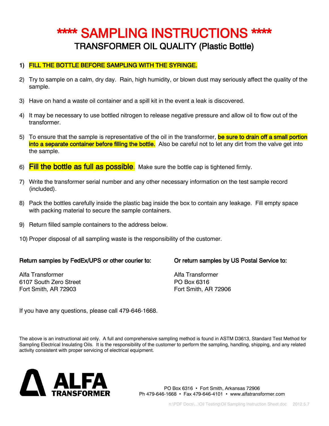### \*\*\*\* SAMPLING INSTRUCTIONS \*\*\*\* TRANSFORMER OIL QUALITY (Plastic Bottle)

#### 1) FILL THE BOTTLE BEFORE SAMPLING WITH THE SYRINGE.

- 2) Try to sample on a calm, dry day. Rain, high humidity, or blown dust may seriously affect the quality of the sample.
- 3) Have on hand a waste oil container and a spill kit in the event a leak is discovered.
- 4) It may be necessary to use bottled nitrogen to release negative pressure and allow oil to flow out of the transformer.
- 5) To ensure that the sample is representative of the oil in the transformer, **be sure to drain off a small portion** into a separate container before filling the bottle. Also be careful not to let any dirt from the valve get into the sample.
- 6) Fill the bottle as full as possible. Make sure the bottle cap is tightened firmly.
- 7) Write the transformer serial number and any other necessary information on the test sample record (included).
- 8) Pack the bottles carefully inside the plastic bag inside the box to contain any leakage. Fill empty space with packing material to secure the sample containers.
- 9) Return filled sample containers to the address below.
- 10) Proper disposal of all sampling waste is the responsibility of the customer.

#### Return samples by FedEx/UPS or other courier to: Or return samples by US Postal Service to:

Alfa Transformer Alfa Transformer 6107 South Zero Street PO Box 6316 Fort Smith, AR 72903 Fort Smith, AR 72906

If you have any questions, please call 479-646-1668.

The above is an instructional aid only. A full and comprehensive sampling method is found in ASTM D3613, Standard Test Method for Sampling Electrical Insulating Oils. It is the responsibility of the customer to perform the sampling, handling, shipping, and any related activity consistent with proper servicing of electrical equipment.



PO Box 6316 • Fort Smith, Arkansas 72906 Ph 479-646-1668 • Fax 479-646-4101 • www.alfatransformer.com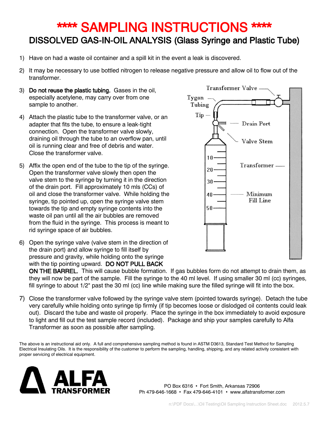## \*\*\*\* SAMPLING INSTRUCTIONS \*\*\*\* DISSOLVED GAS-IN-OIL ANALYSIS (Glass Syringe and Plastic Tube)

- 1) Have on had a waste oil container and a spill kit in the event a leak is discovered.
- 2) It may be necessary to use bottled nitrogen to release negative pressure and allow oil to flow out of the transformer.
- 3) Do not reuse the plastic tubing. Gases in the oil, especially acetylene, may carry over from one sample to another.
- 4) Attach the plastic tube to the transformer valve, or an adapter that fits the tube, to ensure a leak-tight connection. Open the transformer valve slowly, draining oil through the tube to an overflow pan, until oil is running clear and free of debris and water. Close the transformer valve.
- 5) Affix the open end of the tube to the tip of the syringe. Open the transformer valve slowly then open the valve stem to the syringe by turning it in the direction of the drain port. Fill approximately 10 mls (CCs) of oil and close the transformer valve. While holding the syringe, tip pointed up, open the syringe valve stem towards the tip and empty syringe contents into the waste oil pan until all the air bubbles are removed from the fluid in the syringe. This process is meant to rid syringe space of air bubbles.
- 6) Open the syringe valve (valve stem in the direction of the drain port) and allow syringe to fill itself by pressure and gravity, while holding onto the syringe with the tip pointing upward. DO NOT PULL BACK



ON THE BARREL. This will cause bubble formation. If gas bubbles form do not attempt to drain them, as they will now be part of the sample. Fill the syringe to the 40 ml level. If using smaller 30 ml (cc) syringes, fill syringe to about 1/2" past the 30 ml (cc) line while making sure the filled syringe will fit into the box.

7) Close the transformer valve followed by the syringe valve stem (pointed towards syringe). Detach the tube very carefully while holding onto syringe tip firmly (if tip becomes loose or dislodged oil contents could leak out). Discard the tube and waste oil properly. Place the syringe in the box immediately to avoid exposure to light and fill out the test sample record (included). Package and ship your samples carefully to Alfa Transformer as soon as possible after sampling.

The above is an instructional aid only. A full and comprehensive sampling method is found in ASTM D3613, Standard Test Method for Sampling Electrical Insulating Oils. It is the responsibility of the customer to perform the sampling, handling, shipping, and any related activity consistent with proper servicing of electrical equipment.



PO Box 6316 • Fort Smith, Arkansas 72906 Ph 479-646-1668 • Fax 479-646-4101 • www.alfatransformer.com